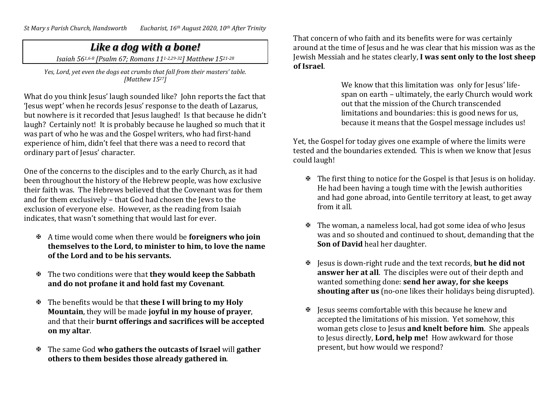## *Like a dog with a bone!*

*Isaiah 561,6-8 [Psalm 67; Romans 111-2,29-32] Matthew 1521-28*

*Yes, Lord, yet even the dogs eat crumbs that fall from their masters' table. [Matthew 1527]*

What do you think Jesus' laugh sounded like? John reports the fact that 'Jesus wept' when he records Jesus' response to the death of Lazarus, but nowhere is it recorded that Jesus laughed! Is that because he didn't laugh? Certainly not! It is probably because he laughed so much that it was part of who he was and the Gospel writers, who had first-hand experience of him, didn't feel that there was a need to record that ordinary part of Jesus' character.

One of the concerns to the disciples and to the early Church, as it had been throughout the history of the Hebrew people, was how exclusive their faith was. The Hebrews believed that the Covenant was for them and for them exclusively – that God had chosen the Jews to the exclusion of everyone else. However, as the reading from Isaiah indicates, that wasn't something that would last for ever.

- A time would come when there would be **foreigners who join themselves to the Lord, to minister to him, to love the name of the Lord and to be his servants.**
- The two conditions were that **they would keep the Sabbath and do not profane it and hold fast my Covenant**.
- The benefits would be that **these I will bring to my Holy Mountain**, they will be made **joyful in my house of prayer**, and that their **burnt offerings and sacrifices will be accepted on my altar**.
- The same God **who gathers the outcasts of Israel** will **gather others to them besides those already gathered in**.

That concern of who faith and its benefits were for was certainly around at the time of Jesus and he was clear that his mission was as the Jewish Messiah and he states clearly, **I was sent only to the lost sheep of Israel**.

> We know that this limitation was only for Jesus' lifespan on earth – ultimately, the early Church would work out that the mission of the Church transcended limitations and boundaries: this is good news for us, because it means that the Gospel message includes us!

Yet, the Gospel for today gives one example of where the limits were tested and the boundaries extended. This is when we know that Jesus could laugh!

- $\mathbb F$  The first thing to notice for the Gospel is that Jesus is on holiday. He had been having a tough time with the Jewish authorities and had gone abroad, into Gentile territory at least, to get away from it all.
- $\mathbb F$  The woman, a nameless local, had got some idea of who Jesus was and so shouted and continued to shout, demanding that the **Son of David** heal her daughter.
- Jesus is down-right rude and the text records, **but he did not answer her at all**. The disciples were out of their depth and wanted something done: **send her away, for she keeps shouting after us** (no-one likes their holidays being disrupted).
- $\mathbb F$  lesus seems comfortable with this because he knew and accepted the limitations of his mission. Yet somehow, this woman gets close to Jesus **and knelt before him**. She appeals to Jesus directly, **Lord, help me!** How awkward for those present, but how would we respond?